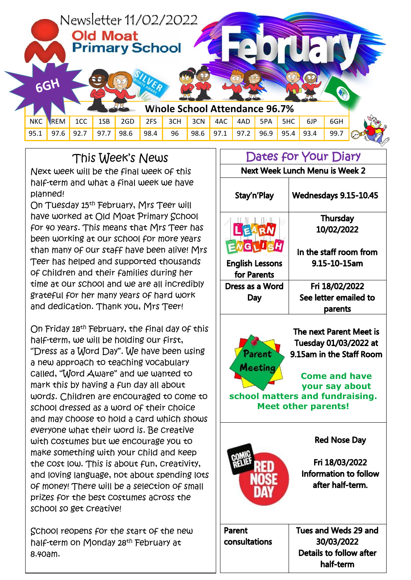

## This Week's News

Next week will be the final week of this half-term and what a final week we have planned!

On Tuesday 15th February, Mrs Teer will have worked at Old Moat Primary School for 40 years. This means that Mrs Teer has been working at our school for more years than many of our staff have been alive! Mrs Teer has helped and supported thousands of children and their families during her time at our school and we are all incredibly grateful for her many years of hard work and dedication. Thank you, Mrs Teer!

On Friday 18th February, the final day of this half-term, we will be holding our first, "Dress as a Word Day". We have been using a new approach to teaching vocabulary called, "Word Aware" and we wanted to mark this by having a fun day all about words. Children are encouraged to come to school dressed as a word of their choice and may choose to hold a card which shows everyone what their word is. Be creative with costumes but we encourage you to make something with your child and keep the cost low. This is about fun, creativity, and loving language, not about spending lots of money! There will be a selection of small prizes for the best costumes across the school so get creative!

School reopens for the start of the new half-term on Monday 28th February at 8.40am.

## Dates for Your Diary Next Week Lunch Menu is Week 2 Stay'n'Play **Wednesdays 9.15-10.45 Thursday** 10/02/2022 EARN **NGLLSH** In the staff room from **English Lessons** 9.15-10-15am for Parents Dress as a Word Fri 18/02/2022 See letter emailed to Day parents The next Parent Meet is





**Parent consultations**  Tues and Weds 29 and 30/03/2022 Details to follow after half-term